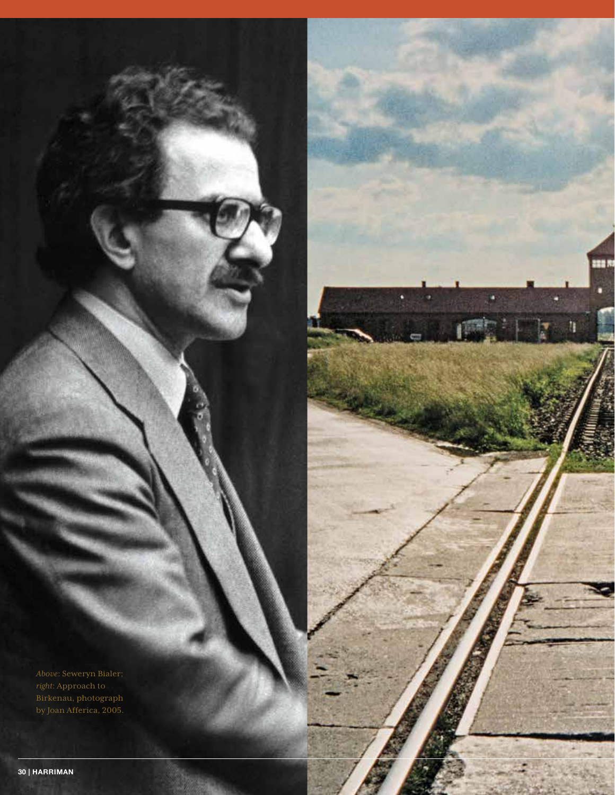888 N

'n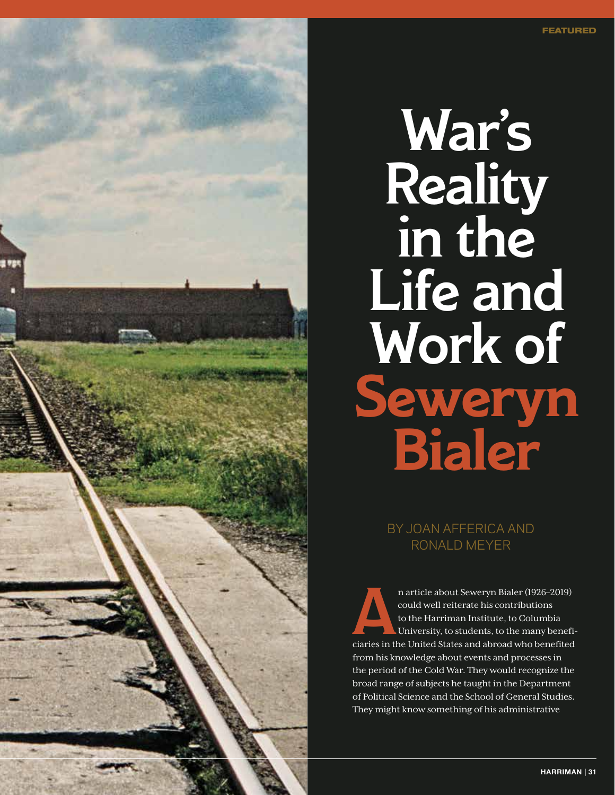

# War's **Reality** in the Life and Work of **Seweryn Bialer**

BY JOAN AFFERICA AND RONALD MEYER

n article about Seweryn Bialer (1926–2019) could well reiterate his contributions to the Harriman Institute, to Columbia University, to students, to the many beneficiaries in the United States and abroad who benefited from his knowledge about events and processes in the period of the Cold War. They would recognize the broad range of subjects he taught in the Department of Political Science and the School of General Studies. They might know something of his administrative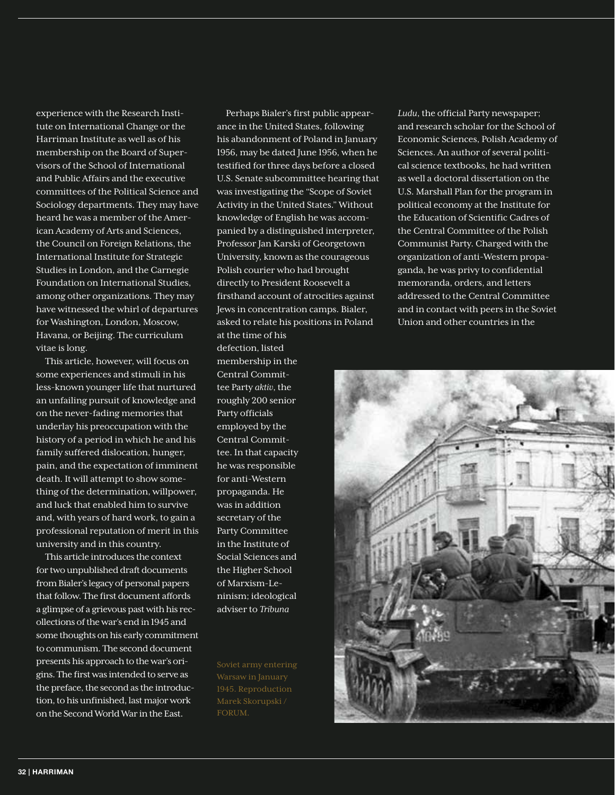experience with the Research Institute on International Change or the Harriman Institute as well as of his membership on the Board of Supervisors of the School of International and Public Affairs and the executive committees of the Political Science and Sociology departments. They may have heard he was a member of the American Academy of Arts and Sciences, the Council on Foreign Relations, the International Institute for Strategic Studies in London, and the Carnegie Foundation on International Studies, among other organizations. They may have witnessed the whirl of departures for Washington, London, Moscow, Havana, or Beijing. The curriculum vitae is long.

This article, however, will focus on some experiences and stimuli in his less-known younger life that nurtured an unfailing pursuit of knowledge and on the never-fading memories that underlay his preoccupation with the history of a period in which he and his family suffered dislocation, hunger, pain, and the expectation of imminent death. It will attempt to show something of the determination, willpower, and luck that enabled him to survive and, with years of hard work, to gain a professional reputation of merit in this university and in this country.

This article introduces the context for two unpublished draft documents from Bialer's legacy of personal papers that follow. The first document affords a glimpse of a grievous past with his recollections of the war's end in 1945 and some thoughts on his early commitment to communism. The second document presents his approach to the war's origins. The first was intended to serve as the preface, the second as the introduction, to his unfinished, last major work on the Second World War in the East.

Perhaps Bialer's first public appearance in the United States, following his abandonment of Poland in January 1956, may be dated June 1956, when he testified for three days before a closed U.S. Senate subcommittee hearing that was investigating the "Scope of Soviet Activity in the United States." Without knowledge of English he was accompanied by a distinguished interpreter, Professor Jan Karski of Georgetown University, known as the courageous Polish courier who had brought directly to President Roosevelt a firsthand account of atrocities against Jews in concentration camps. Bialer, asked to relate his positions in Poland

at the time of his defection, listed membership in the Central Committee Party *aktiv*, the roughly 200 senior Party officials employed by the Central Committee. In that capacity he was responsible for anti-Western propaganda. He was in addition secretary of the Party Committee in the Institute of Social Sciences and the Higher School of Marxism-Leninism; ideological adviser to *Tribuna* 

Soviet army entering Warsaw in January 1945. Reproduction FORUM.

*Ludu*, the official Party newspaper; and research scholar for the School of Economic Sciences, Polish Academy of Sciences. An author of several political science textbooks, he had written as well a doctoral dissertation on the U.S. Marshall Plan for the program in political economy at the Institute for the Education of Scientific Cadres of the Central Committee of the Polish Communist Party. Charged with the organization of anti-Western propaganda, he was privy to confidential memoranda, orders, and letters addressed to the Central Committee and in contact with peers in the Soviet Union and other countries in the

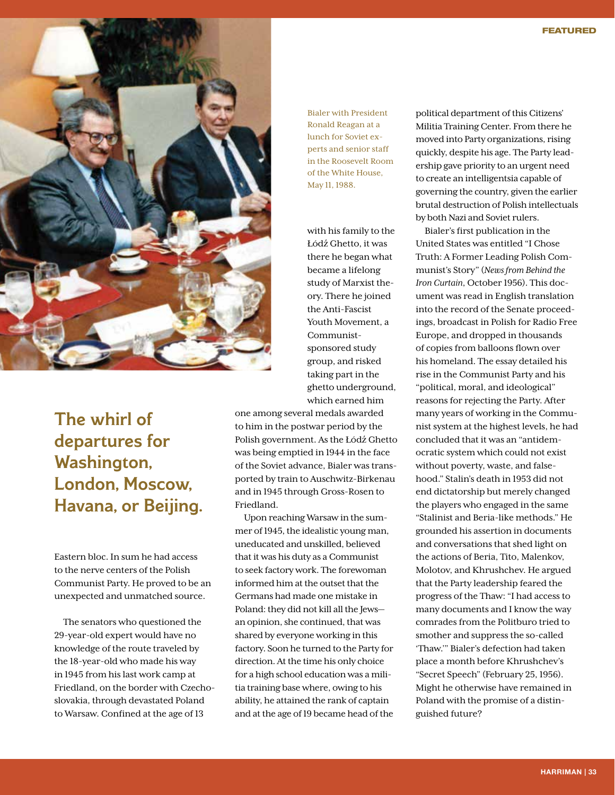

The whirl of departures for Washington, London, Moscow, Havana, or Beijing.

Eastern bloc. In sum he had access to the nerve centers of the Polish Communist Party. He proved to be an unexpected and unmatched source.

The senators who questioned the 29-year-old expert would have no knowledge of the route traveled by the 18-year-old who made his way in 1945 from his last work camp at Friedland, on the border with Czechoslovakia, through devastated Poland to Warsaw. Confined at the age of 13

Bialer with President Ronald Reagan at a lunch for Soviet experts and senior staff in the Roosevelt Room of the White House, May 11, 1988.

with his family to the Łódź Ghetto, it was there he began what became a lifelong study of Marxist theory. There he joined the Anti-Fascist Youth Movement, a Communistsponsored study group, and risked taking part in the ghetto underground, which earned him

one among several medals awarded to him in the postwar period by the Polish government. As the Łódź Ghetto was being emptied in 1944 in the face of the Soviet advance, Bialer was transported by train to Auschwitz-Birkenau and in 1945 through Gross-Rosen to Friedland.

Upon reaching Warsaw in the summer of 1945, the idealistic young man, uneducated and unskilled, believed that it was his duty as a Communist to seek factory work. The forewoman informed him at the outset that the Germans had made one mistake in Poland: they did not kill all the Jews an opinion, she continued, that was shared by everyone working in this factory. Soon he turned to the Party for direction. At the time his only choice for a high school education was a militia training base where, owing to his ability, he attained the rank of captain and at the age of 19 became head of the

political department of this Citizens' Militia Training Center. From there he moved into Party organizations, rising quickly, despite his age. The Party leadership gave priority to an urgent need to create an intelligentsia capable of governing the country, given the earlier brutal destruction of Polish intellectuals by both Nazi and Soviet rulers.

Bialer's first publication in the United States was entitled "I Chose Truth: A Former Leading Polish Communist's Story" (*News from Behind the Iron Curtain*, October 1956). This document was read in English translation into the record of the Senate proceedings, broadcast in Polish for Radio Free Europe, and dropped in thousands of copies from balloons flown over his homeland. The essay detailed his rise in the Communist Party and his "political, moral, and ideological" reasons for rejecting the Party. After many years of working in the Communist system at the highest levels, he had concluded that it was an "antidemocratic system which could not exist without poverty, waste, and falsehood." Stalin's death in 1953 did not end dictatorship but merely changed the players who engaged in the same "Stalinist and Beria-like methods." He grounded his assertion in documents and conversations that shed light on the actions of Beria, Tito, Malenkov, Molotov, and Khrushchev. He argued that the Party leadership feared the progress of the Thaw: "I had access to many documents and I know the way comrades from the Politburo tried to smother and suppress the so-called 'Thaw.'" Bialer's defection had taken place a month before Khrushchev's "Secret Speech" (February 25, 1956). Might he otherwise have remained in Poland with the promise of a distinguished future?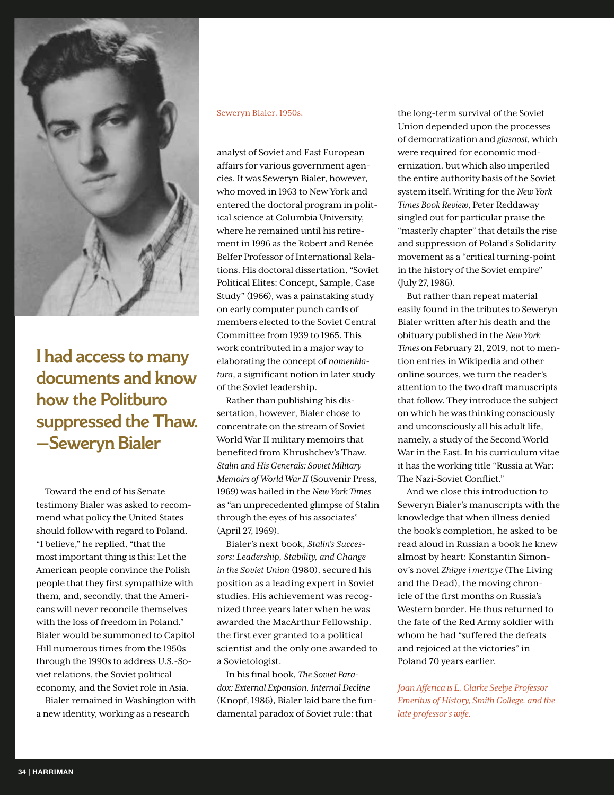

I had access to many documents and know how the Politburo suppressed the Thaw. —Seweryn Bialer

Toward the end of his Senate testimony Bialer was asked to recommend what policy the United States should follow with regard to Poland. "I believe," he replied, "that the most important thing is this: Let the American people convince the Polish people that they first sympathize with them, and, secondly, that the Americans will never reconcile themselves with the loss of freedom in Poland." Bialer would be summoned to Capitol Hill numerous times from the 1950s through the 1990s to address U.S.-Soviet relations, the Soviet political economy, and the Soviet role in Asia.

Bialer remained in Washington with a new identity, working as a research

#### Seweryn Bialer, 1950s.

analyst of Soviet and East European affairs for various government agencies. It was Seweryn Bialer, however, who moved in 1963 to New York and entered the doctoral program in political science at Columbia University, where he remained until his retirement in 1996 as the Robert and Renée Belfer Professor of International Relations. His doctoral dissertation, "Soviet Political Elites: Concept, Sample, Case Study" (1966), was a painstaking study on early computer punch cards of members elected to the Soviet Central Committee from 1939 to 1965. This work contributed in a major way to elaborating the concept of *nomenklatura*, a significant notion in later study of the Soviet leadership.

Rather than publishing his dissertation, however, Bialer chose to concentrate on the stream of Soviet World War II military memoirs that benefited from Khrushchev's Thaw. *Stalin and His Generals: Soviet Military Memoirs of World War II* (Souvenir Press, 1969) was hailed in the *New York Times* as "an unprecedented glimpse of Stalin through the eyes of his associates" (April 27, 1969).

Bialer's next book, *Stalin's Successors: Leadership, Stability, and Change in the Soviet Union* (1980), secured his position as a leading expert in Soviet studies. His achievement was recognized three years later when he was awarded the MacArthur Fellowship, the first ever granted to a political scientist and the only one awarded to a Sovietologist.

In his final book, *The Soviet Paradox: External Expansion, Internal Decline*  (Knopf, 1986), Bialer laid bare the fundamental paradox of Soviet rule: that

the long-term survival of the Soviet Union depended upon the processes of democratization and *glasnost*, which were required for economic modernization, but which also imperiled the entire authority basis of the Soviet system itself. Writing for the *New York Times Book Review*, Peter Reddaway singled out for particular praise the "masterly chapter" that details the rise and suppression of Poland's Solidarity movement as a "critical turning-point in the history of the Soviet empire" (July 27, 1986).

But rather than repeat material easily found in the tributes to Seweryn Bialer written after his death and the obituary published in the *New York Times* on February 21, 2019, not to mention entries in Wikipedia and other online sources, we turn the reader's attention to the two draft manuscripts that follow. They introduce the subject on which he was thinking consciously and unconsciously all his adult life, namely, a study of the Second World War in the East. In his curriculum vitae it has the working title "Russia at War: The Nazi-Soviet Conflict."

And we close this introduction to Seweryn Bialer's manuscripts with the knowledge that when illness denied the book's completion, he asked to be read aloud in Russian a book he knew almost by heart: Konstantin Simonov's novel *Zhivye i mertvye* (The Living and the Dead), the moving chronicle of the first months on Russia's Western border. He thus returned to the fate of the Red Army soldier with whom he had "suffered the defeats and rejoiced at the victories" in Poland 70 years earlier.

*Joan Afferica is L. Clarke Seelye Professor Emeritus of History, Smith College, and the late professor's wife.*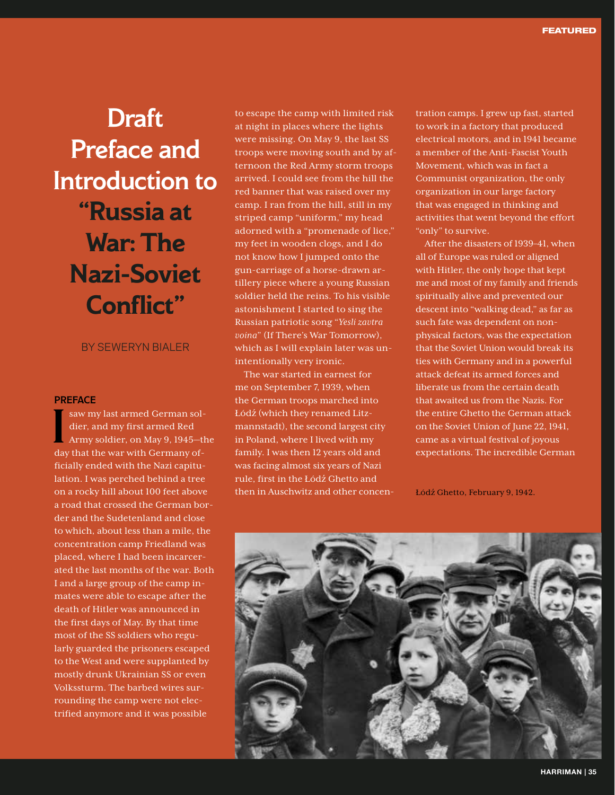# Draft Preface and Introduction to **"Russia at War: The Nazi-Soviet Conflict"**

### BY SEWERYN BIALER

#### **PREFACE**

I saw my last armed German soldier, and my first armed Red Army soldier, on May 9, 1945—the day that the war with Germany officially ended with the Nazi capitulation. I was perched behind a tree on a rocky hill about 100 feet above a road that crossed the German border and the Sudetenland and close to which, about less than a mile, the concentration camp Friedland was placed, where I had been incarcerated the last months of the war. Both I and a large group of the camp inmates were able to escape after the death of Hitler was announced in the first days of May. By that time most of the SS soldiers who regularly guarded the prisoners escaped to the West and were supplanted by mostly drunk Ukrainian SS or even Volkssturm. The barbed wires surrounding the camp were not electrified anymore and it was possible

to escape the camp with limited risk at night in places where the lights were missing. On May 9, the last SS troops were moving south and by afternoon the Red Army storm troops arrived. I could see from the hill the red banner that was raised over my camp. I ran from the hill, still in my striped camp "uniform," my head adorned with a "promenade of lice," my feet in wooden clogs, and I do not know how I jumped onto the gun-carriage of a horse-drawn artillery piece where a young Russian soldier held the reins. To his visible astonishment I started to sing the Russian patriotic song "*Yesli zavtra voina*" (If There's War Tomorrow), which as I will explain later was unintentionally very ironic.

The war started in earnest for me on September 7, 1939, when the German troops marched into Łódź (which they renamed Litzmannstadt), the second largest city in Poland, where I lived with my family. I was then 12 years old and was facing almost six years of Nazi rule, first in the Łódź Ghetto and then in Auschwitz and other concen-

tration camps. I grew up fast, started to work in a factory that produced electrical motors, and in 1941 became a member of the Anti-Fascist Youth Movement, which was in fact a Communist organization, the only organization in our large factory that was engaged in thinking and activities that went beyond the effort "only" to survive.

After the disasters of 1939–41, when all of Europe was ruled or aligned with Hitler, the only hope that kept me and most of my family and friends spiritually alive and prevented our descent into "walking dead," as far as such fate was dependent on nonphysical factors, was the expectation that the Soviet Union would break its ties with Germany and in a powerful attack defeat its armed forces and liberate us from the certain death that awaited us from the Nazis. For the entire Ghetto the German attack on the Soviet Union of June 22, 1941, came as a virtual festival of joyous expectations. The incredible German

Łódź Ghetto, February 9, 1942.

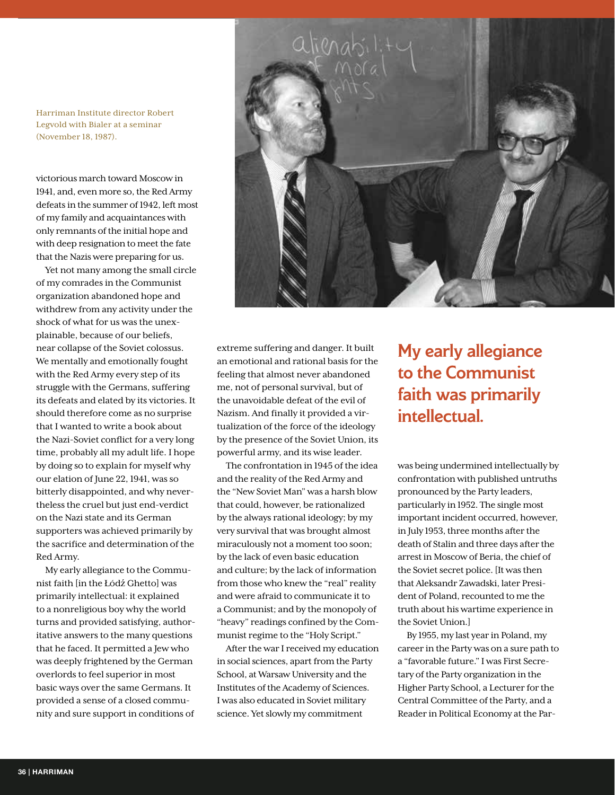Harriman Institute director Robert Legvold with Bialer at a seminar (November 18, 1987).

victorious march toward Moscow in 1941, and, even more so, the Red Army defeats in the summer of 1942, left most of my family and acquaintances with only remnants of the initial hope and with deep resignation to meet the fate that the Nazis were preparing for us.

Yet not many among the small circle of my comrades in the Communist organization abandoned hope and withdrew from any activity under the shock of what for us was the unexplainable, because of our beliefs, near collapse of the Soviet colossus. We mentally and emotionally fought with the Red Army every step of its struggle with the Germans, suffering its defeats and elated by its victories. It should therefore come as no surprise that I wanted to write a book about the Nazi-Soviet conflict for a very long time, probably all my adult life. I hope by doing so to explain for myself why our elation of June 22, 1941, was so bitterly disappointed, and why nevertheless the cruel but just end-verdict on the Nazi state and its German supporters was achieved primarily by the sacrifice and determination of the Red Army.

My early allegiance to the Communist faith [in the Łódź Ghetto] was primarily intellectual: it explained to a nonreligious boy why the world turns and provided satisfying, authoritative answers to the many questions that he faced. It permitted a Jew who was deeply frightened by the German overlords to feel superior in most basic ways over the same Germans. It provided a sense of a closed community and sure support in conditions of



extreme suffering and danger. It built an emotional and rational basis for the feeling that almost never abandoned me, not of personal survival, but of the unavoidable defeat of the evil of Nazism. And finally it provided a virtualization of the force of the ideology by the presence of the Soviet Union, its powerful army, and its wise leader.

The confrontation in 1945 of the idea and the reality of the Red Army and the "New Soviet Man" was a harsh blow that could, however, be rationalized by the always rational ideology; by my very survival that was brought almost miraculously not a moment too soon; by the lack of even basic education and culture; by the lack of information from those who knew the "real" reality and were afraid to communicate it to a Communist; and by the monopoly of "heavy" readings confined by the Communist regime to the "Holy Script."

After the war I received my education in social sciences, apart from the Party School, at Warsaw University and the Institutes of the Academy of Sciences. I was also educated in Soviet military science. Yet slowly my commitment

My early allegiance to the Communist faith was primarily intellectual.

was being undermined intellectually by confrontation with published untruths pronounced by the Party leaders, particularly in 1952. The single most important incident occurred, however, in July 1953, three months after the death of Stalin and three days after the arrest in Moscow of Beria, the chief of the Soviet secret police. [It was then that Aleksandr Zawadski, later President of Poland, recounted to me the truth about his wartime experience in the Soviet Union.]

By 1955, my last year in Poland, my career in the Party was on a sure path to a "favorable future." I was First Secretary of the Party organization in the Higher Party School, a Lecturer for the Central Committee of the Party, and a Reader in Political Economy at the Par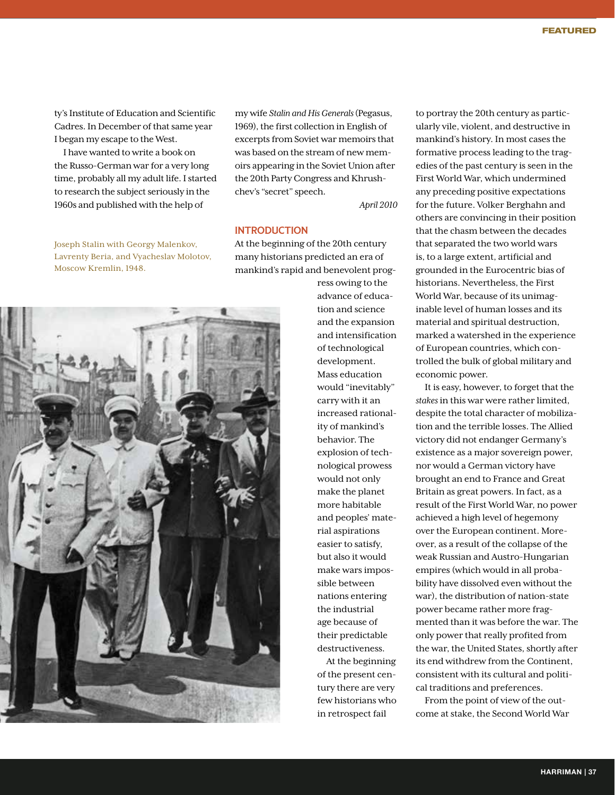ty's Institute of Education and Scientific Cadres. In December of that same year I began my escape to the West.

I have wanted to write a book on the Russo-German war for a very long time, probably all my adult life. I started to research the subject seriously in the 1960s and published with the help of

Joseph Stalin with Georgy Malenkov, Lavrenty Beria, and Vyacheslav Molotov, Moscow Kremlin, 1948.

my wife *Stalin and His Generals* (Pegasus, 1969), the first collection in English of excerpts from Soviet war memoirs that was based on the stream of new memoirs appearing in the Soviet Union after the 20th Party Congress and Khrushchev's "secret" speech.

*April 2010*

## INTRODUCTION

At the beginning of the 20th century many historians predicted an era of mankind's rapid and benevolent prog-



ress owing to the advance of education and science and the expansion and intensification of technological development. Mass education would "inevitably" carry with it an increased rationality of mankind's behavior. The explosion of technological prowess would not only make the planet more habitable and peoples' material aspirations easier to satisfy, but also it would make wars impossible between nations entering the industrial age because of their predictable destructiveness.

At the beginning of the present century there are very few historians who in retrospect fail

to portray the 20th century as particularly vile, violent, and destructive in mankind's history. In most cases the formative process leading to the tragedies of the past century is seen in the First World War, which undermined any preceding positive expectations for the future. Volker Berghahn and others are convincing in their position that the chasm between the decades that separated the two world wars is, to a large extent, artificial and grounded in the Eurocentric bias of historians. Nevertheless, the First World War, because of its unimaginable level of human losses and its material and spiritual destruction, marked a watershed in the experience of European countries, which controlled the bulk of global military and economic power.

It is easy, however, to forget that the *stakes* in this war were rather limited, despite the total character of mobilization and the terrible losses. The Allied victory did not endanger Germany's existence as a major sovereign power, nor would a German victory have brought an end to France and Great Britain as great powers. In fact, as a result of the First World War, no power achieved a high level of hegemony over the European continent. Moreover, as a result of the collapse of the weak Russian and Austro-Hungarian empires (which would in all probability have dissolved even without the war), the distribution of nation-state power became rather more fragmented than it was before the war. The only power that really profited from the war, the United States, shortly after its end withdrew from the Continent, consistent with its cultural and political traditions and preferences.

From the point of view of the outcome at stake, the Second World War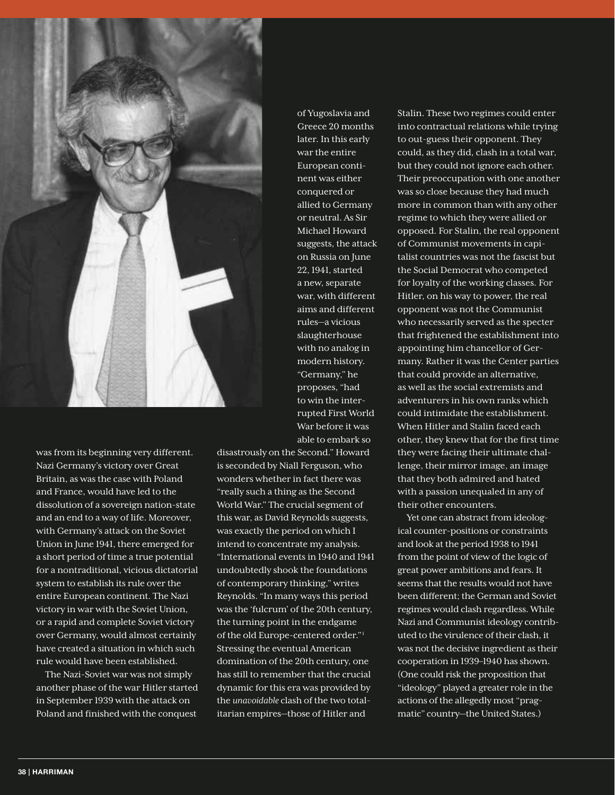

was from its beginning very different. Nazi Germany's victory over Great Britain, as was the case with Poland and France, would have led to the dissolution of a sovereign nation-state and an end to a way of life. Moreover, with Germany's attack on the Soviet Union in June 1941, there emerged for a short period of time a true potential for a nontraditional, vicious dictatorial system to establish its rule over the entire European continent. The Nazi victory in war with the Soviet Union, or a rapid and complete Soviet victory over Germany, would almost certainly have created a situation in which such rule would have been established.

The Nazi-Soviet war was not simply another phase of the war Hitler started in September 1939 with the attack on Poland and finished with the conquest

of Yugoslavia and Greece 20 months later. In this early war the entire European continent was either conquered or allied to Germany or neutral. As Sir Michael Howard suggests, the attack on Russia on June 22, 1941, started a new, separate war, with different aims and different rules—a vicious slaughterhouse with no analog in modern history. "Germany," he proposes, "had to win the interrupted First World War before it was able to embark so

disastrously on the Second." Howard is seconded by Niall Ferguson, who wonders whether in fact there was "really such a thing as the Second World War." The crucial segment of this war, as David Reynolds suggests, was exactly the period on which I intend to concentrate my analysis. "International events in 1940 and 1941 undoubtedly shook the foundations of contemporary thinking," writes Reynolds. "In many ways this period was the 'fulcrum' of the 20th century, the turning point in the endgame of the old Europe-centered order."i Stressing the eventual American domination of the 20th century, one has still to remember that the crucial dynamic for this era was provided by the *unavoidable* clash of the two totalitarian empires—those of Hitler and

Stalin. These two regimes could enter into contractual relations while trying to out-guess their opponent. They could, as they did, clash in a total war, but they could not ignore each other. Their preoccupation with one another was so close because they had much more in common than with any other regime to which they were allied or opposed. For Stalin, the real opponent of Communist movements in capitalist countries was not the fascist but the Social Democrat who competed for loyalty of the working classes. For Hitler, on his way to power, the real opponent was not the Communist who necessarily served as the specter that frightened the establishment into appointing him chancellor of Germany. Rather it was the Center parties that could provide an alternative, as well as the social extremists and adventurers in his own ranks which could intimidate the establishment. When Hitler and Stalin faced each other, they knew that for the first time they were facing their ultimate challenge, their mirror image, an image that they both admired and hated with a passion unequaled in any of their other encounters.

Yet one can abstract from ideological counter-positions or constraints and look at the period 1938 to 1941 from the point of view of the logic of great power ambitions and fears. It seems that the results would not have been different; the German and Soviet regimes would clash regardless. While Nazi and Communist ideology contributed to the virulence of their clash, it was not the decisive ingredient as their cooperation in 1939–1940 has shown. (One could risk the proposition that "ideology" played a greater role in the actions of the allegedly most "pragmatic" country—the United States.)